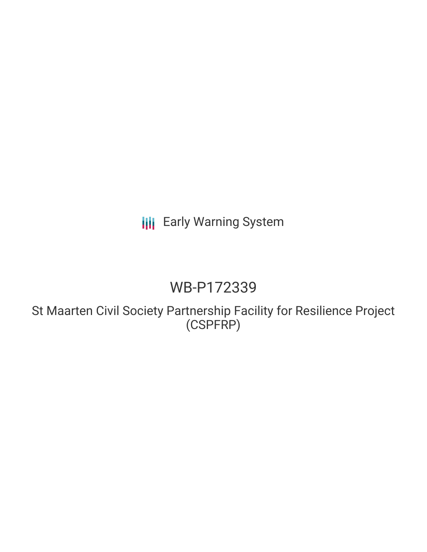# **III** Early Warning System

# WB-P172339

St Maarten Civil Society Partnership Facility for Resilience Project (CSPFRP)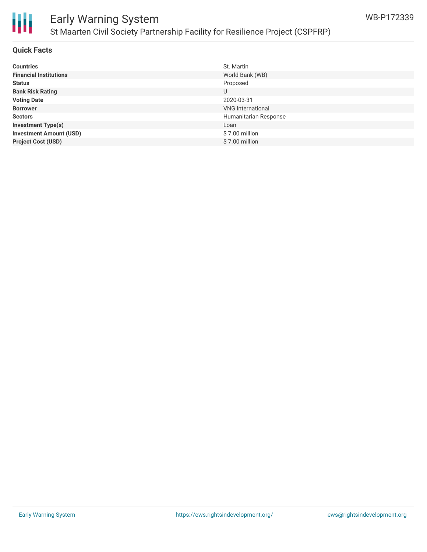

## Early Warning System St Maarten Civil Society Partnership Facility for Resilience Project (CSPFRP)

### **Quick Facts**

| <b>Countries</b>               | St. Martin               |
|--------------------------------|--------------------------|
| <b>Financial Institutions</b>  | World Bank (WB)          |
| <b>Status</b>                  | Proposed                 |
| <b>Bank Risk Rating</b>        | U                        |
| <b>Voting Date</b>             | 2020-03-31               |
| <b>Borrower</b>                | <b>VNG</b> International |
| <b>Sectors</b>                 | Humanitarian Response    |
| <b>Investment Type(s)</b>      | Loan                     |
| <b>Investment Amount (USD)</b> | \$7.00 million           |
| <b>Project Cost (USD)</b>      | \$7.00 million           |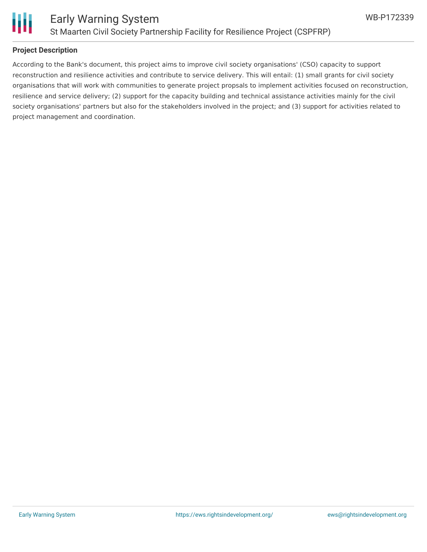

### **Project Description**

According to the Bank's document, this project aims to improve civil society organisations' (CSO) capacity to support reconstruction and resilience activities and contribute to service delivery. This will entail: (1) small grants for civil society organisations that will work with communities to generate project propsals to implement activities focused on reconstruction, resilience and service delivery; (2) support for the capacity building and technical assistance activities mainly for the civil society organisations' partners but also for the stakeholders involved in the project; and (3) support for activities related to project management and coordination.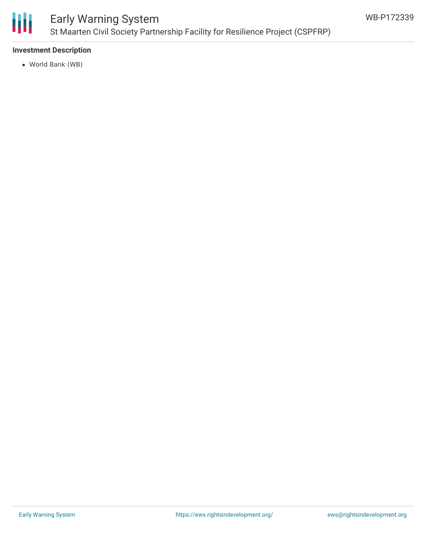

## Early Warning System St Maarten Civil Society Partnership Facility for Resilience Project (CSPFRP)

### **Investment Description**

World Bank (WB)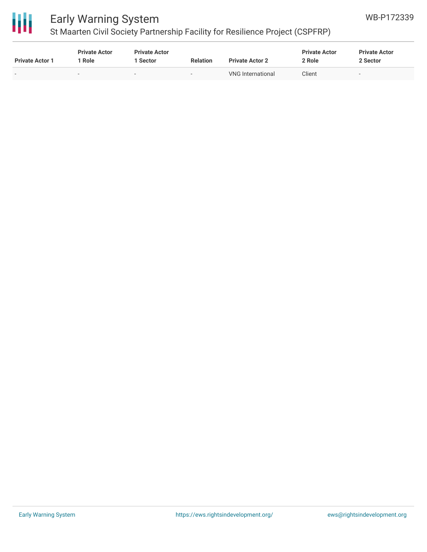

## Early Warning System

## St Maarten Civil Society Partnership Facility for Resilience Project (CSPFRP)

| <b>Private Actor 1</b> | <b>Private Actor</b><br>Role | <b>Private Actor</b><br>l Sector | <b>Relation</b>          | <b>Private Actor 2</b> | <b>Private Actor</b><br>2 Role | <b>Private Actor</b><br>2 Sector |
|------------------------|------------------------------|----------------------------------|--------------------------|------------------------|--------------------------------|----------------------------------|
|                        |                              |                                  | $\overline{\phantom{a}}$ | VNG International      | Client                         | $\,$                             |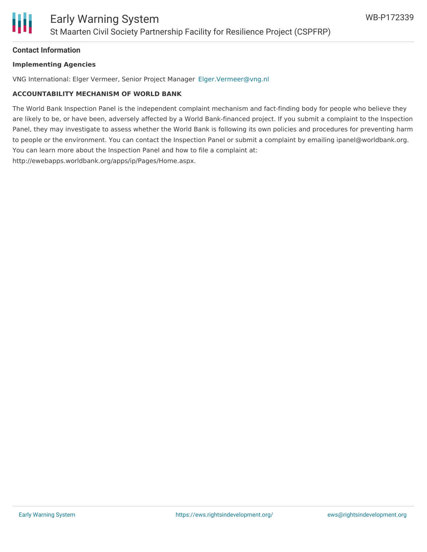

### **Contact Information**

#### **Implementing Agencies**

VNG International: Elger Vermeer, Senior Project Manager [Elger.Vermeer@vng.nl](mailto:Elger.Vermeer@vng.nl)

### **ACCOUNTABILITY MECHANISM OF WORLD BANK**

The World Bank Inspection Panel is the independent complaint mechanism and fact-finding body for people who believe they are likely to be, or have been, adversely affected by a World Bank-financed project. If you submit a complaint to the Inspection Panel, they may investigate to assess whether the World Bank is following its own policies and procedures for preventing harm to people or the environment. You can contact the Inspection Panel or submit a complaint by emailing ipanel@worldbank.org. You can learn more about the Inspection Panel and how to file a complaint at: http://ewebapps.worldbank.org/apps/ip/Pages/Home.aspx.